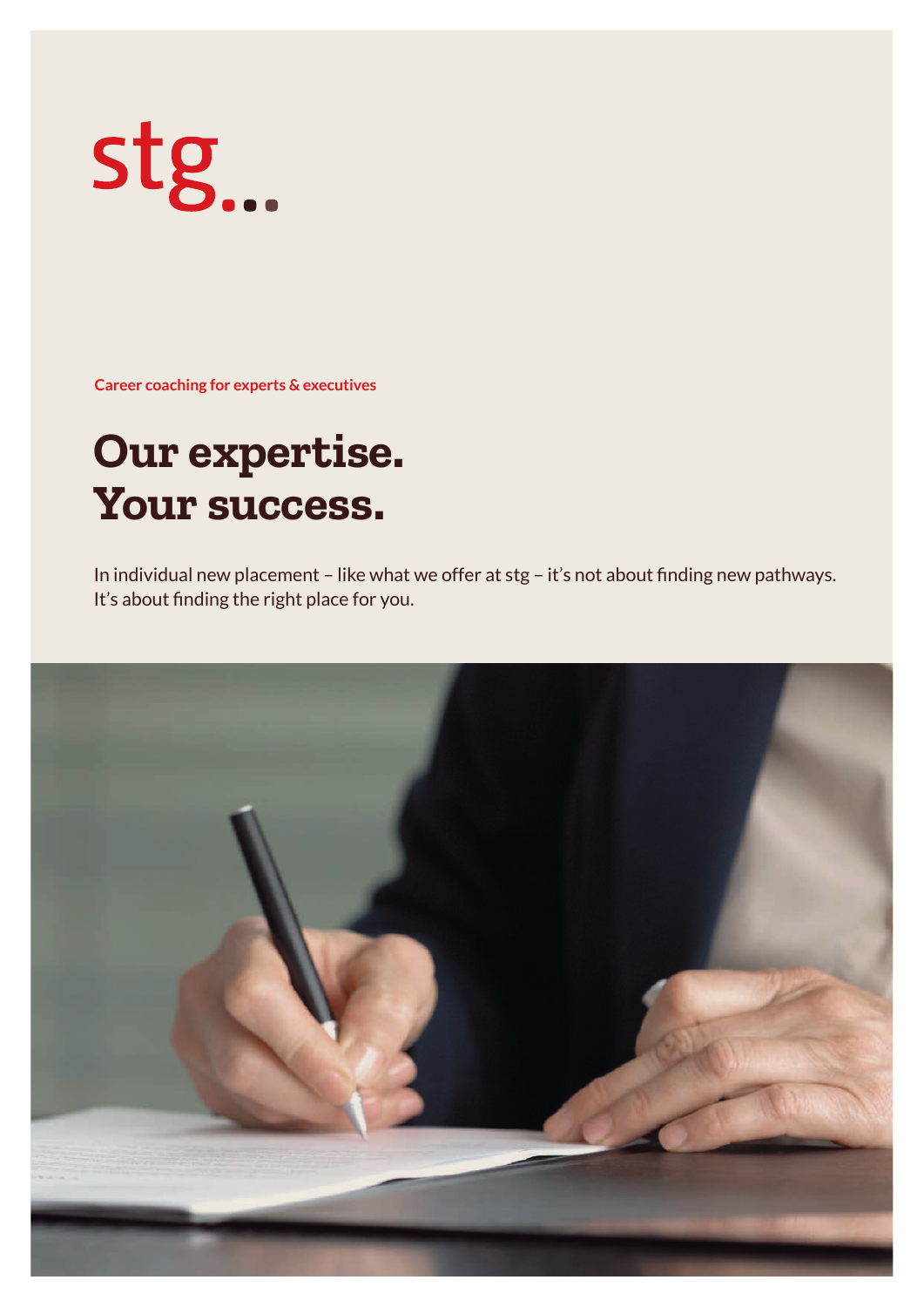# stg...

**Career coaching for experts & executives**

# **Our expertise. Your success.**

In individual new placement – like what we offer at stg – it's not about finding new pathways. It's about finding the right place for you.

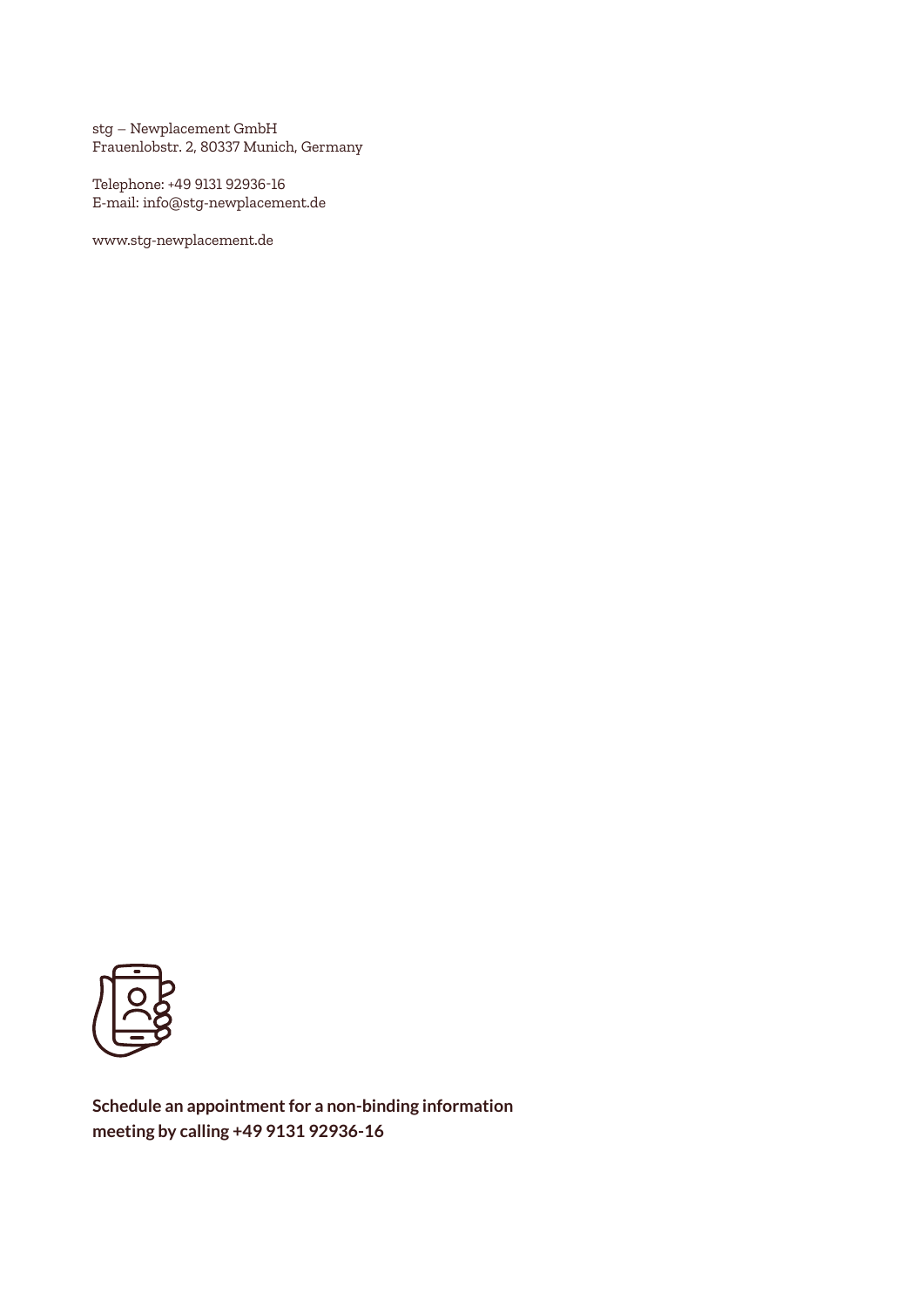stg – Newplacement GmbH Frauenlobstr. 2, 80337 Munich, Germany

Telephone: +49 9131 92936-16 E-mail: info@stg-newplacement.de

www.stg-newplacement.de



**Schedule an appointment for a non-binding information meeting by calling +49 9131 92936-16**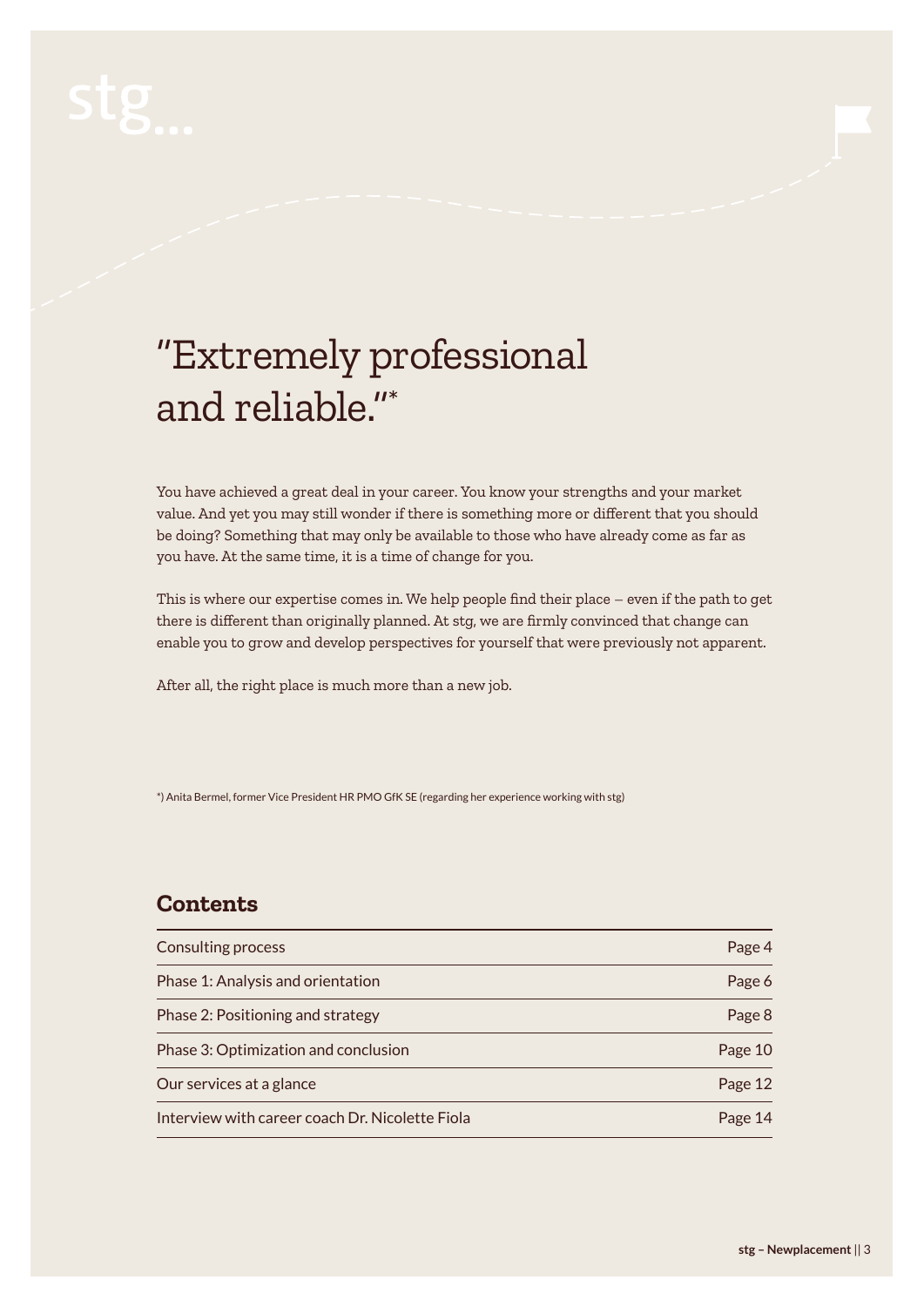# "Extremely professional and reliable."\*

You have achieved a great deal in your career. You know your strengths and your market value. And yet you may still wonder if there is something more or different that you should be doing? Something that may only be available to those who have already come as far as you have. At the same time, it is a time of change for you.

This is where our expertise comes in. We help people find their place – even if the path to get there is different than originally planned. At stg, we are firmly convinced that change can enable you to grow and develop perspectives for yourself that were previously not apparent.

After all, the right place is much more than a new job.

\*) Anita Bermel, former Vice President HR PMO GfK SE (regarding her experience working with stg)

### **Contents**

| <b>Consulting process</b>                       | Page 4  |
|-------------------------------------------------|---------|
| Phase 1: Analysis and orientation               | Page 6  |
| Phase 2: Positioning and strategy               | Page 8  |
| Phase 3: Optimization and conclusion            | Page 10 |
| Our services at a glance                        | Page 12 |
| Interview with career coach Dr. Nicolette Fiola | Page 14 |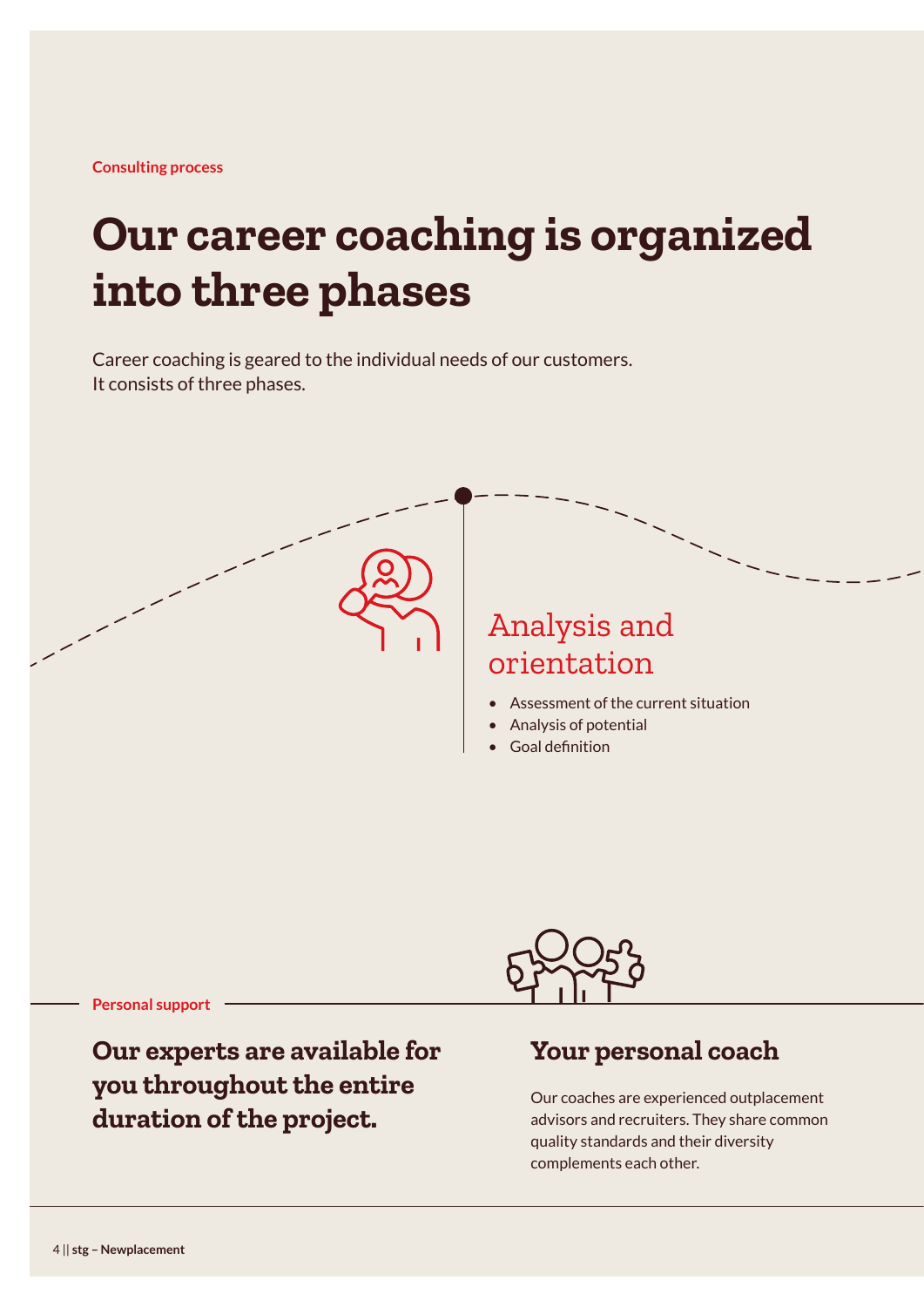# **Our career coaching is organized into three phases**

Career coaching is geared to the individual needs of our customers. It consists of three phases.

> Analysis and orientation

- Assessment of the current situation
- Analysis of potential
- Goal definition

**Personal support**

**Our experts are available for you throughout the entire duration of the project.**



### **Your personal coach**

Our coaches are experienced outplacement advisors and recruiters. They share common quality standards and their diversity complements each other.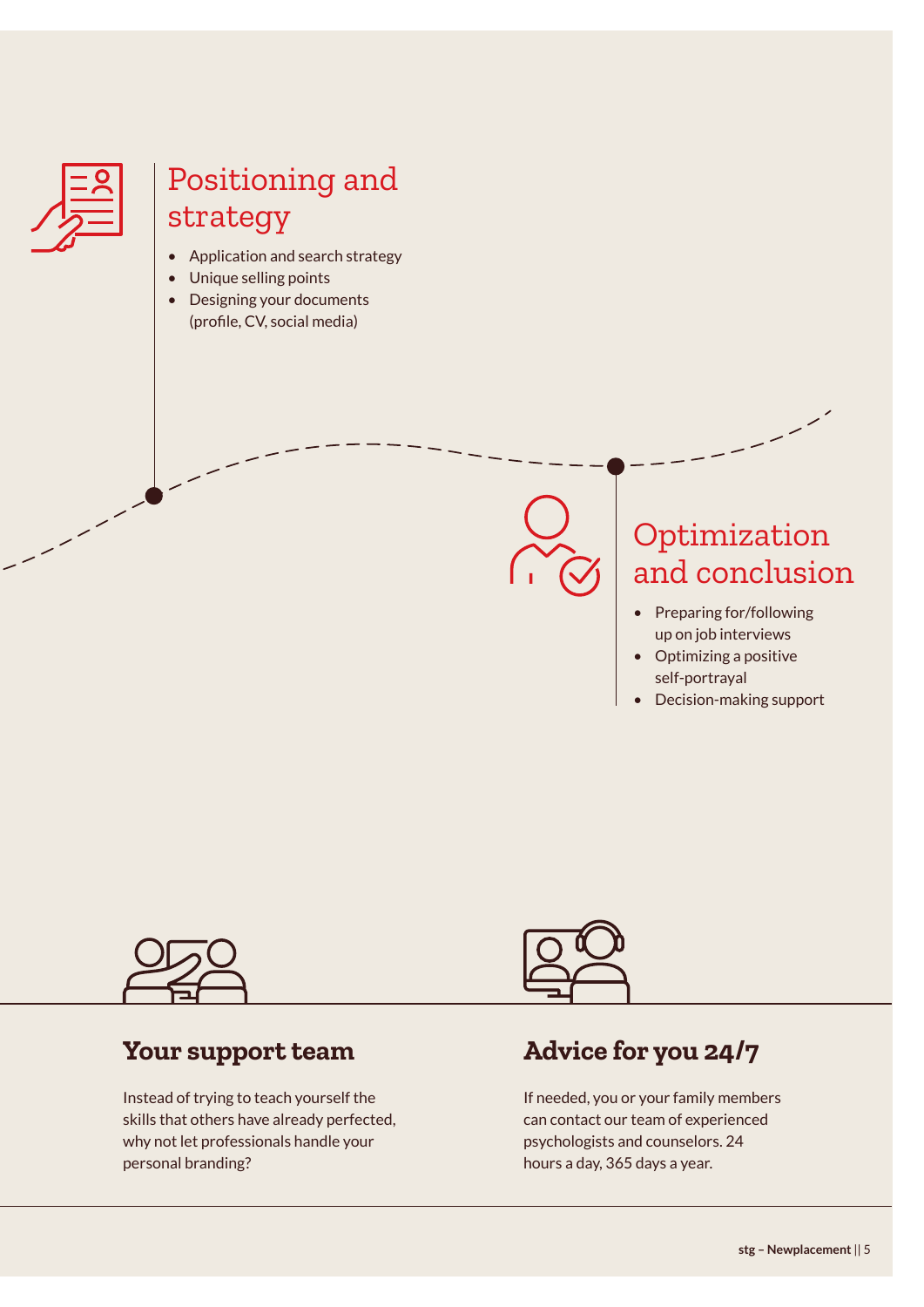

### Positioning and strategy

- Application and search strategy
- Unique selling points
- Designing your documents (profile, CV, social media)



### Optimization and conclusion

- Preparing for/following up on job interviews
- Optimizing a positive self-portrayal
- Decision-making support



### **Your support team**

Instead of trying to teach yourself the skills that others have already perfected, why not let professionals handle your personal branding?



### **Advice for you 24/7**

If needed, you or your family members can contact our team of experienced psychologists and counselors. 24 hours a day, 365 days a year.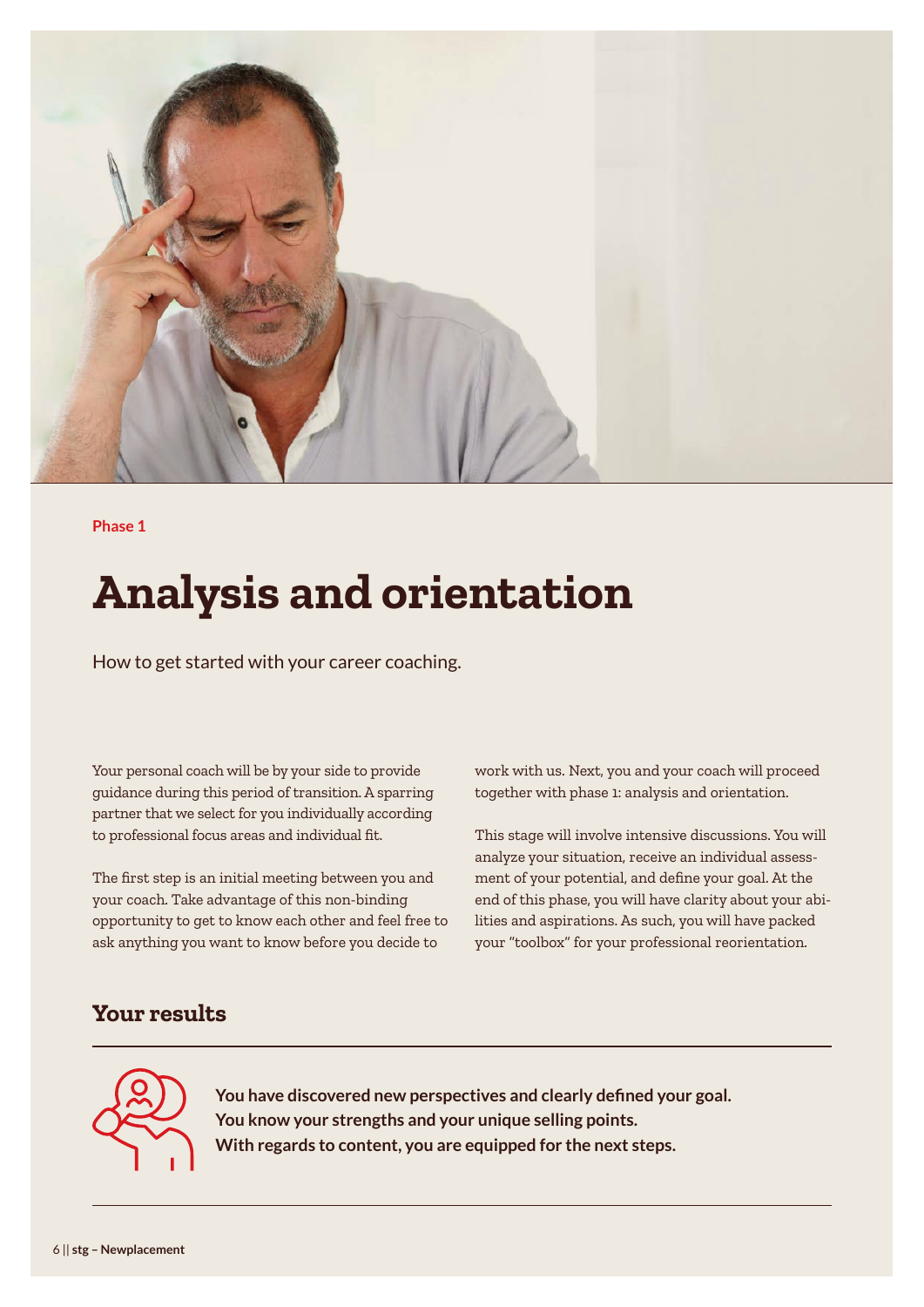

**Phase 1**

# **Analysis and orientation**

How to get started with your career coaching.

Your personal coach will be by your side to provide guidance during this period of transition. A sparring partner that we select for you individually according to professional focus areas and individual fit.

The first step is an initial meeting between you and your coach. Take advantage of this non-binding opportunity to get to know each other and feel free to ask anything you want to know before you decide to

work with us. Next, you and your coach will proceed together with phase 1: analysis and orientation.

This stage will involve intensive discussions. You will analyze your situation, receive an individual assessment of your potential, and define your goal. At the end of this phase, you will have clarity about your abilities and aspirations. As such, you will have packed your "toolbox" for your professional reorientation.

### **Your results**



**You have discovered new perspectives and clearly defined your goal. You know your strengths and your unique selling points. With regards to content, you are equipped for the next steps.**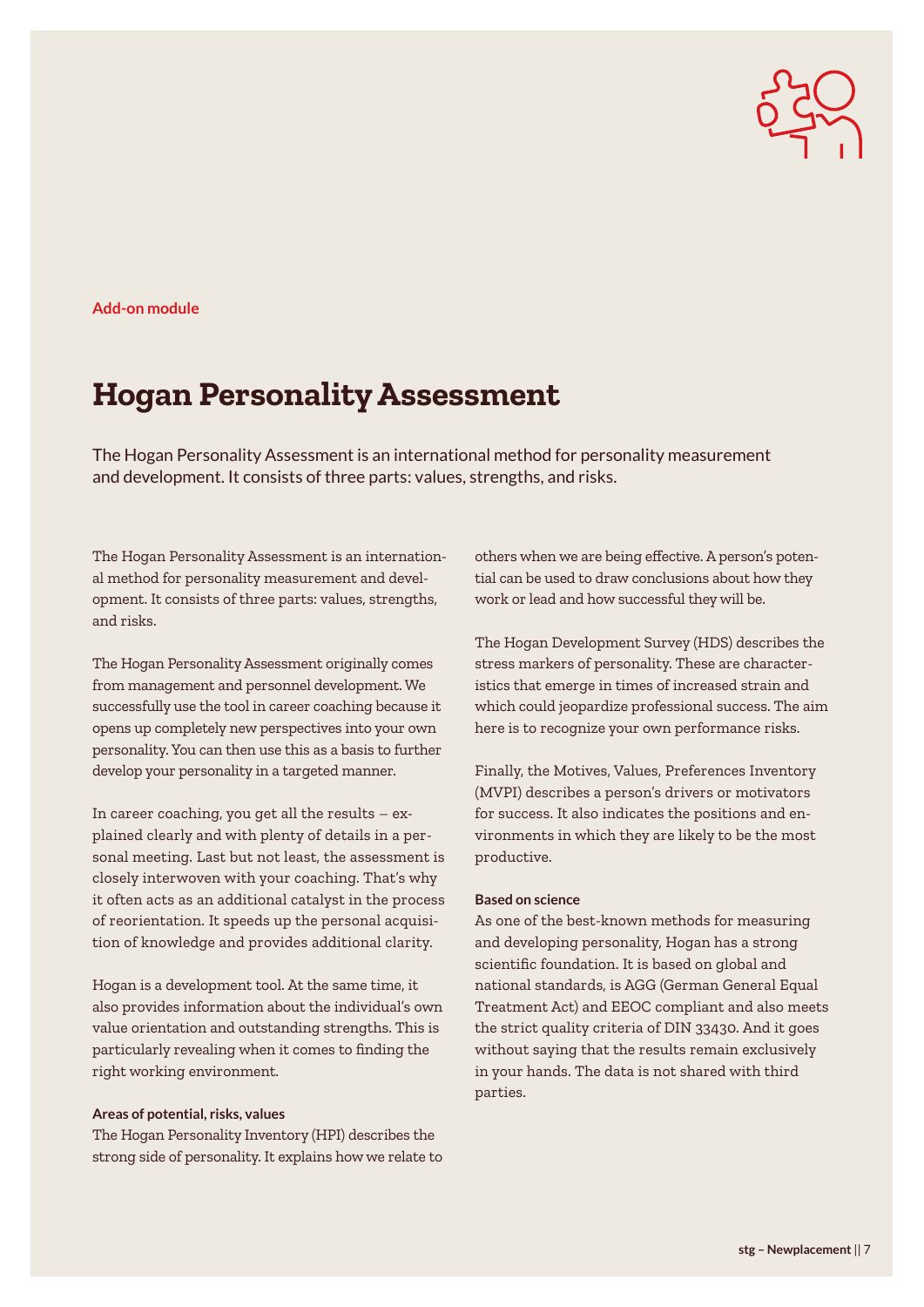

**Add-on module**

### **Hogan Personality Assessment**

The Hogan Personality Assessment is an international method for personality measurement and development. It consists of three parts: values, strengths, and risks.

The Hogan Personality Assessment is an international method for personality measurement and development. It consists of three parts: values, strengths, and risks.

The Hogan Personality Assessment originally comes from management and personnel development. We successfully use the tool in career coaching because it opens up completely new perspectives into your own personality. You can then use this as a basis to further develop your personality in a targeted manner.

In career coaching, you get all the results – explained clearly and with plenty of details in a personal meeting. Last but not least, the assessment is closely interwoven with your coaching. That's why it often acts as an additional catalyst in the process of reorientation. It speeds up the personal acquisition of knowledge and provides additional clarity.

Hogan is a development tool. At the same time, it also provides information about the individual's own value orientation and outstanding strengths. This is particularly revealing when it comes to finding the right working environment.

#### **Areas of potential, risks, values**

The Hogan Personality Inventory (HPI) describes the strong side of personality. It explains how we relate to others when we are being effective. A person's potential can be used to draw conclusions about how they work or lead and how successful they will be.

The Hogan Development Survey (HDS) describes the stress markers of personality. These are characteristics that emerge in times of increased strain and which could jeopardize professional success. The aim here is to recognize your own performance risks.

Finally, the Motives, Values, Preferences Inventory (MVPI) describes a person's drivers or motivators for success. It also indicates the positions and environments in which they are likely to be the most productive.

#### **Based on science**

As one of the best-known methods for measuring and developing personality, Hogan has a strong scientific foundation. It is based on global and national standards, is AGG (German General Equal Treatment Act) and EEOC compliant and also meets the strict quality criteria of DIN 33430. And it goes without saying that the results remain exclusively in your hands. The data is not shared with third parties.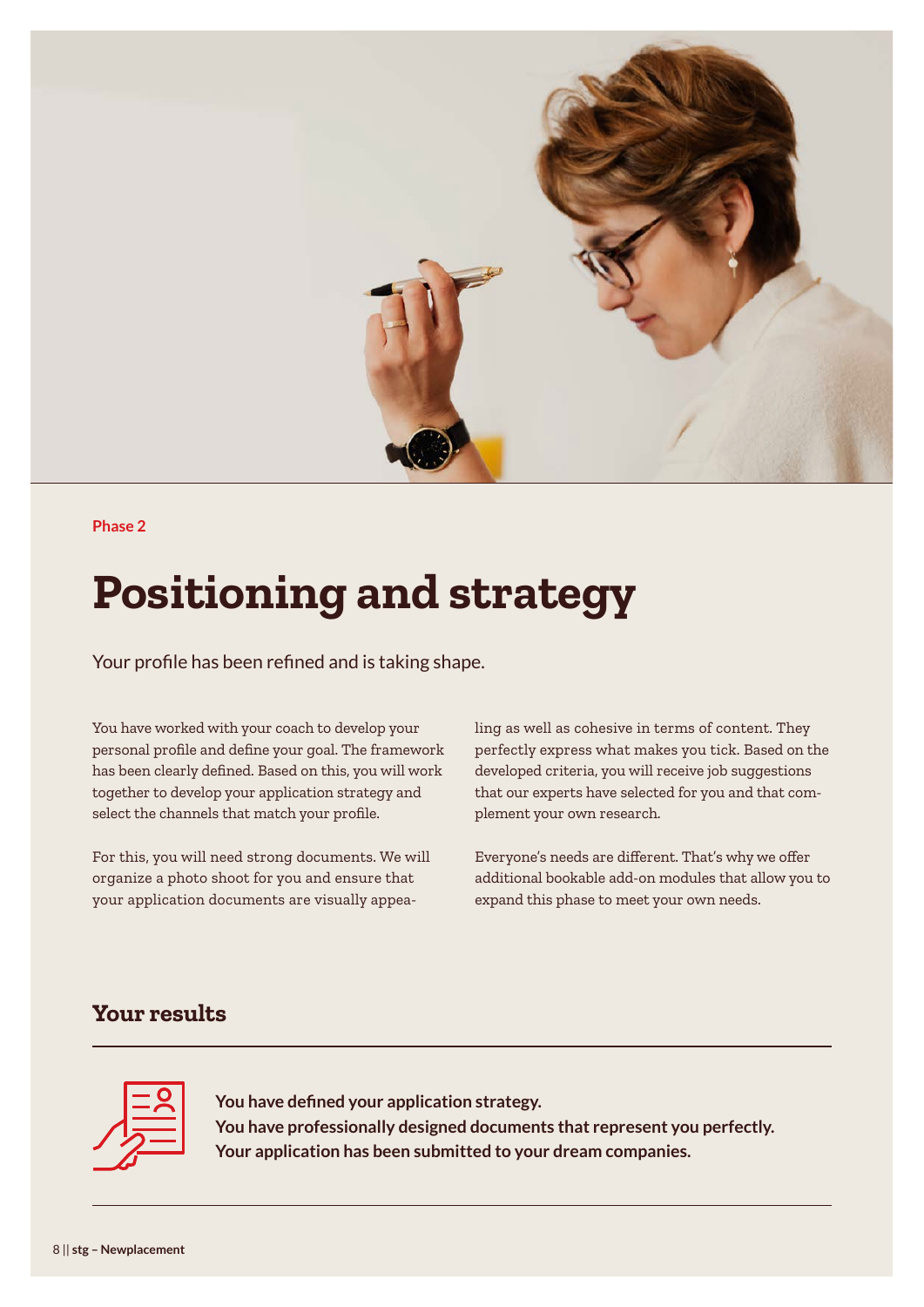

#### **Phase 2**

# **Positioning and strategy**

Your profile has been refined and is taking shape.

You have worked with your coach to develop your personal profile and define your goal. The framework has been clearly defined. Based on this, you will work together to develop your application strategy and select the channels that match your profile.

For this, you will need strong documents. We will organize a photo shoot for you and ensure that your application documents are visually appealing as well as cohesive in terms of content. They perfectly express what makes you tick. Based on the developed criteria, you will receive job suggestions that our experts have selected for you and that complement your own research.

Everyone's needs are different. That's why we offer additional bookable add-on modules that allow you to expand this phase to meet your own needs.

### **Your results**



**You have defined your application strategy. You have professionally designed documents that represent you perfectly. Your application has been submitted to your dream companies.**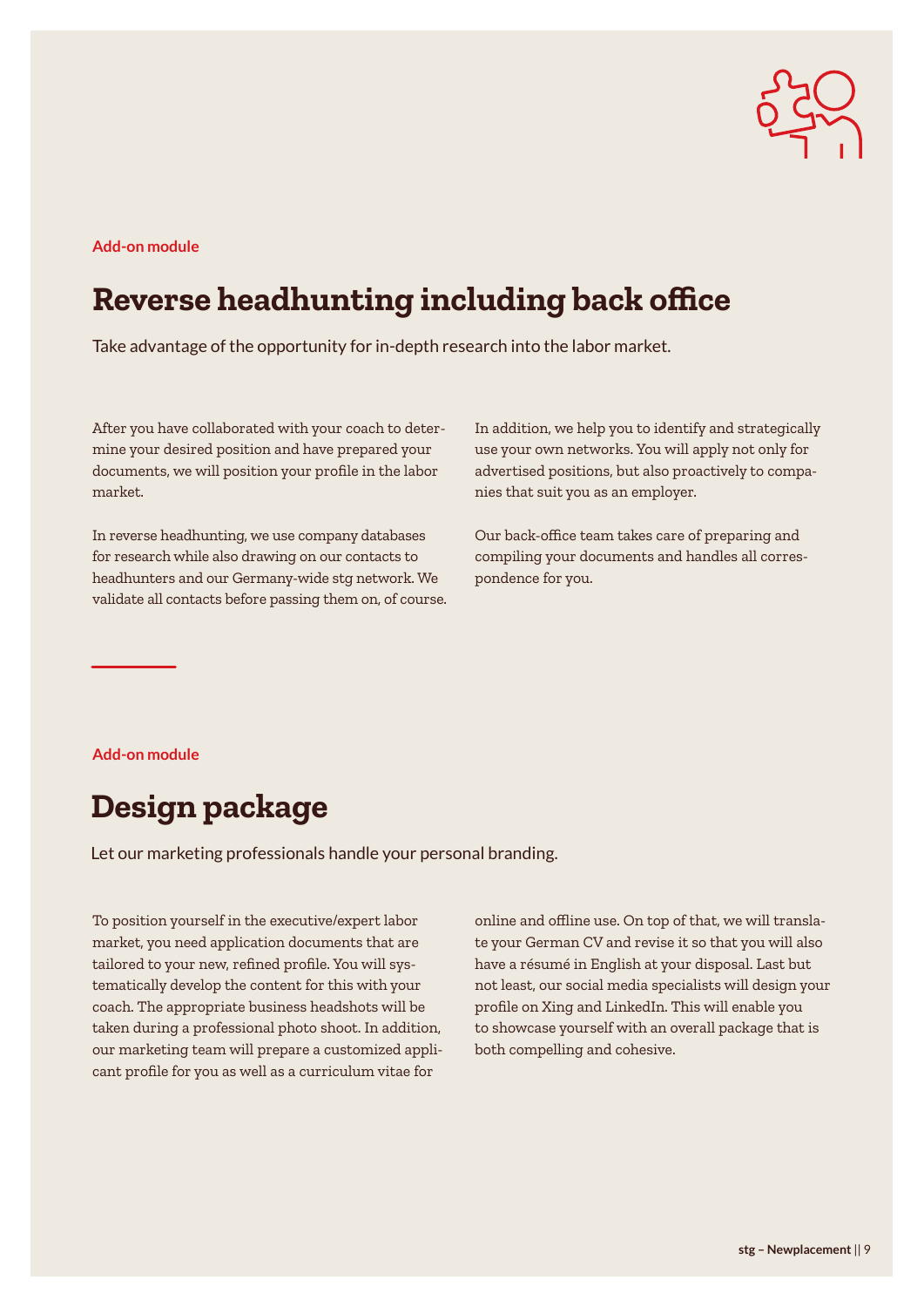

#### **Add-on module**

### **Reverse headhunting including back office**

Take advantage of the opportunity for in-depth research into the labor market.

After you have collaborated with your coach to determine your desired position and have prepared your documents, we will position your profile in the labor market.

In reverse headhunting, we use company databases for research while also drawing on our contacts to headhunters and our Germany-wide stg network. We validate all contacts before passing them on, of course. In addition, we help you to identify and strategically use your own networks. You will apply not only for advertised positions, but also proactively to companies that suit you as an employer.

Our back-office team takes care of preparing and compiling your documents and handles all correspondence for you.

**Add-on module**

### **Design package**

Let our marketing professionals handle your personal branding.

To position yourself in the executive/expert labor market, you need application documents that are tailored to your new, refined profile. You will systematically develop the content for this with your coach. The appropriate business headshots will be taken during a professional photo shoot. In addition, our marketing team will prepare a customized applicant profile for you as well as a curriculum vitae for

online and offline use. On top of that, we will translate your German CV and revise it so that you will also have a résumé in English at your disposal. Last but not least, our social media specialists will design your profile on Xing and LinkedIn. This will enable you to showcase yourself with an overall package that is both compelling and cohesive.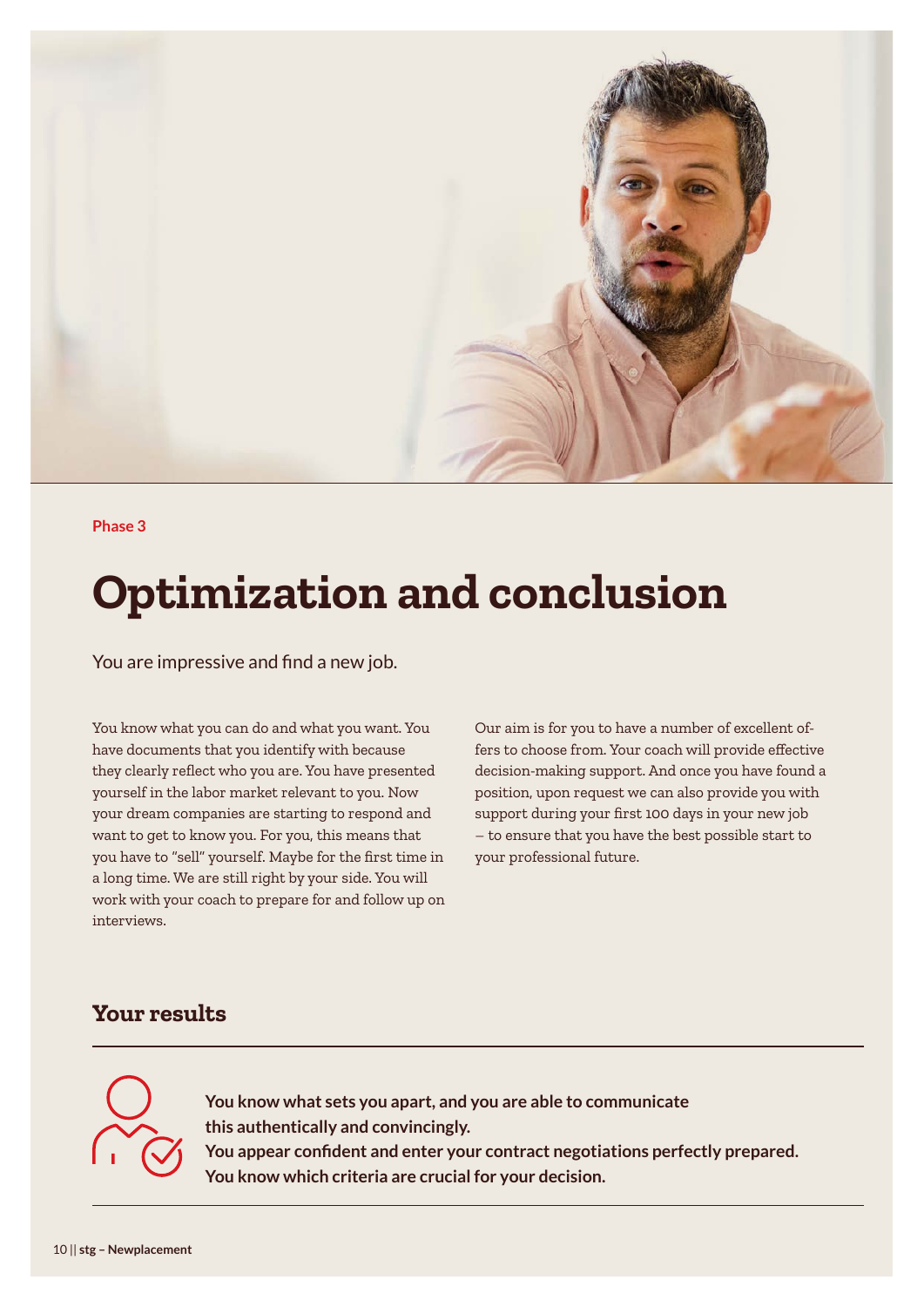

#### **Phase 3**

# **Optimization and conclusion**

You are impressive and find a new job.

You know what you can do and what you want. You have documents that you identify with because they clearly reflect who you are. You have presented yourself in the labor market relevant to you. Now your dream companies are starting to respond and want to get to know you. For you, this means that you have to "sell" yourself. Maybe for the first time in a long time. We are still right by your side. You will work with your coach to prepare for and follow up on interviews.

Our aim is for you to have a number of excellent offers to choose from. Your coach will provide effective decision-making support. And once you have found a position, upon request we can also provide you with support during your first 100 days in your new job – to ensure that you have the best possible start to your professional future.

### **Your results**



**You know what sets you apart, and you are able to communicate this authentically and convincingly. You appear confident and enter your contract negotiations perfectly prepared.**

**You know which criteria are crucial for your decision.**

10 || **stg – Newplacement**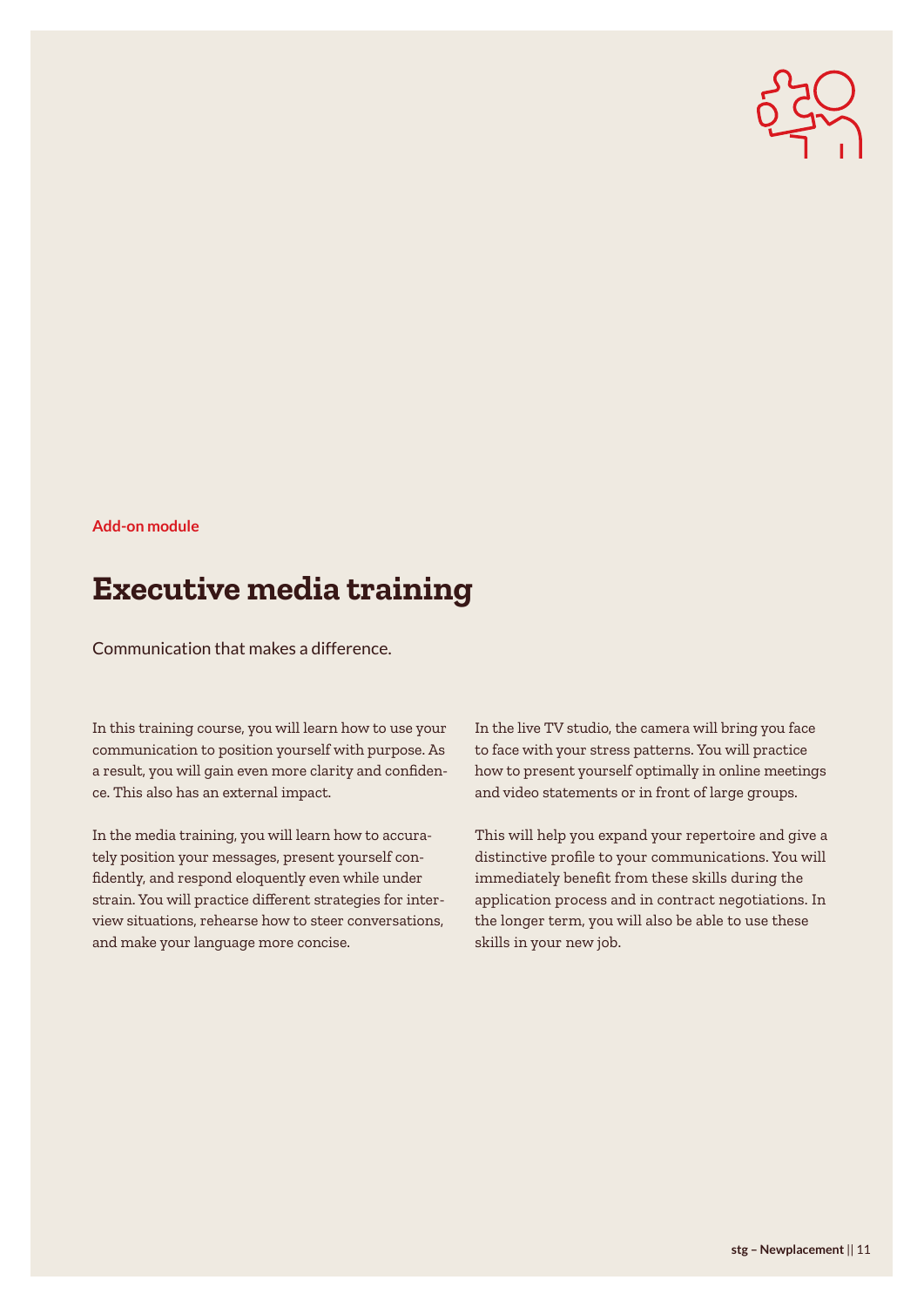

#### **Add-on module**

### **Executive media training**

Communication that makes a difference.

In this training course, you will learn how to use your communication to position yourself with purpose. As a result, you will gain even more clarity and confidence. This also has an external impact.

In the media training, you will learn how to accurately position your messages, present yourself confidently, and respond eloquently even while under strain. You will practice different strategies for interview situations, rehearse how to steer conversations, and make your language more concise.

In the live TV studio, the camera will bring you face to face with your stress patterns. You will practice how to present yourself optimally in online meetings and video statements or in front of large groups.

This will help you expand your repertoire and give a distinctive profile to your communications. You will immediately benefit from these skills during the application process and in contract negotiations. In the longer term, you will also be able to use these skills in your new job.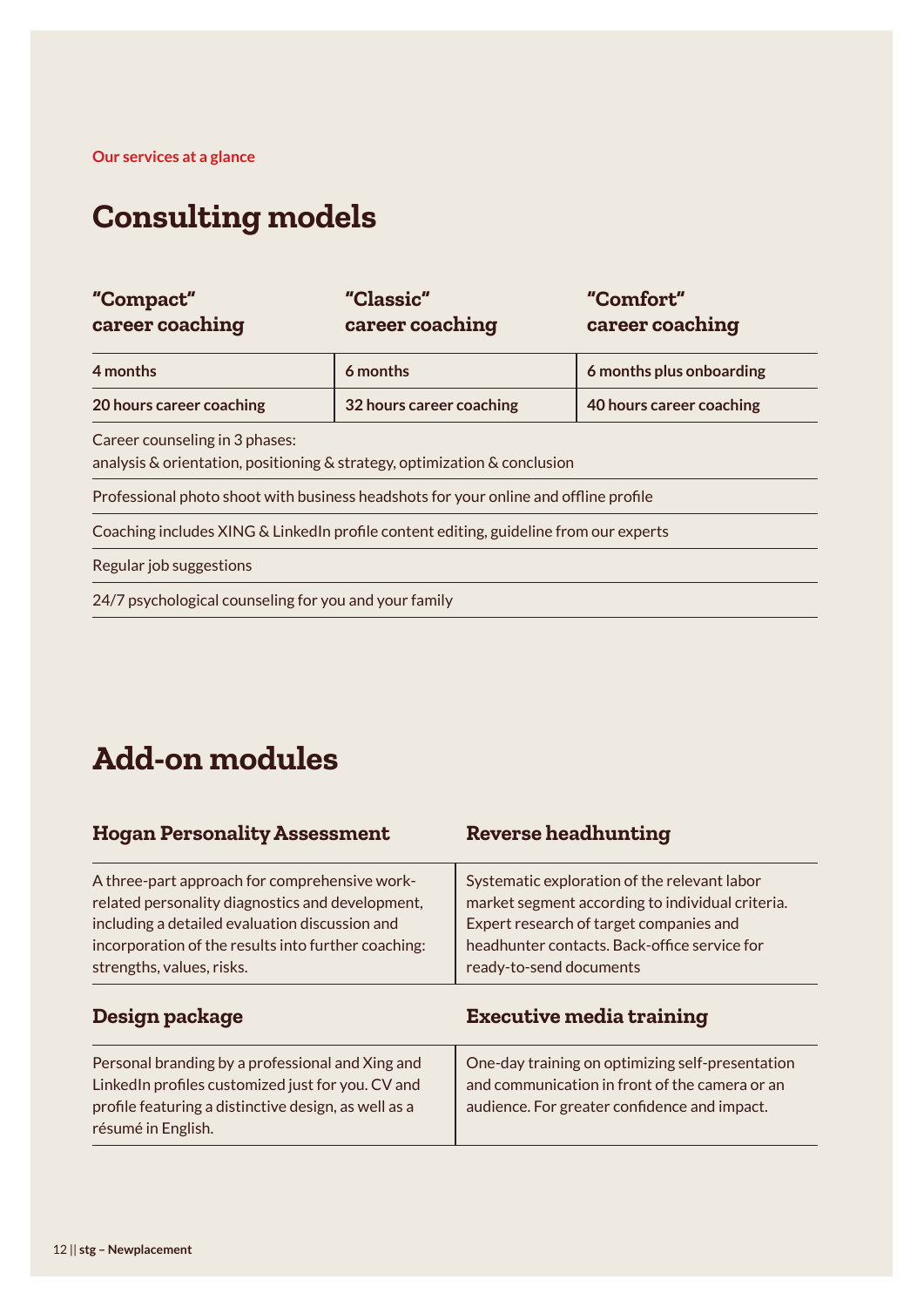**Our services at a glance**

### **Consulting models**

| "Compact"<br>career coaching                                                                                | "Classic"<br>career coaching | "Comfort"<br>career coaching |
|-------------------------------------------------------------------------------------------------------------|------------------------------|------------------------------|
| 4 months                                                                                                    | 6 months                     | 6 months plus onboarding     |
| 20 hours career coaching                                                                                    | 32 hours career coaching     | 40 hours career coaching     |
| Career counseling in 3 phases:<br>analysis & orientation, positioning & strategy, optimization & conclusion |                              |                              |
| Professional photo shoot with business headshots for your online and offline profile                        |                              |                              |
| Coaching includes XING & LinkedIn profile content editing, guideline from our experts                       |                              |                              |
| Regular job suggestions                                                                                     |                              |                              |
| 24/7 psychological counseling for you and your family                                                       |                              |                              |

### **Add-on modules**

| <b>Hogan Personality Assessment</b>                                                                                                                                                                                                     | <b>Reverse headhunting</b>                                                                                                                                                                                             |
|-----------------------------------------------------------------------------------------------------------------------------------------------------------------------------------------------------------------------------------------|------------------------------------------------------------------------------------------------------------------------------------------------------------------------------------------------------------------------|
| A three-part approach for comprehensive work-<br>related personality diagnostics and development,<br>including a detailed evaluation discussion and<br>incorporation of the results into further coaching:<br>strengths, values, risks. | Systematic exploration of the relevant labor<br>market segment according to individual criteria.<br>Expert research of target companies and<br>headhunter contacts. Back-office service for<br>ready-to-send documents |
| Design package                                                                                                                                                                                                                          | <b>Executive media training</b>                                                                                                                                                                                        |
| Personal branding by a professional and Xing and<br>LinkedIn profiles customized just for you. CV and<br>profile featuring a distinctive design, as well as a<br>résumé in English.                                                     | One-day training on optimizing self-presentation<br>and communication in front of the camera or an<br>audience. For greater confidence and impact.                                                                     |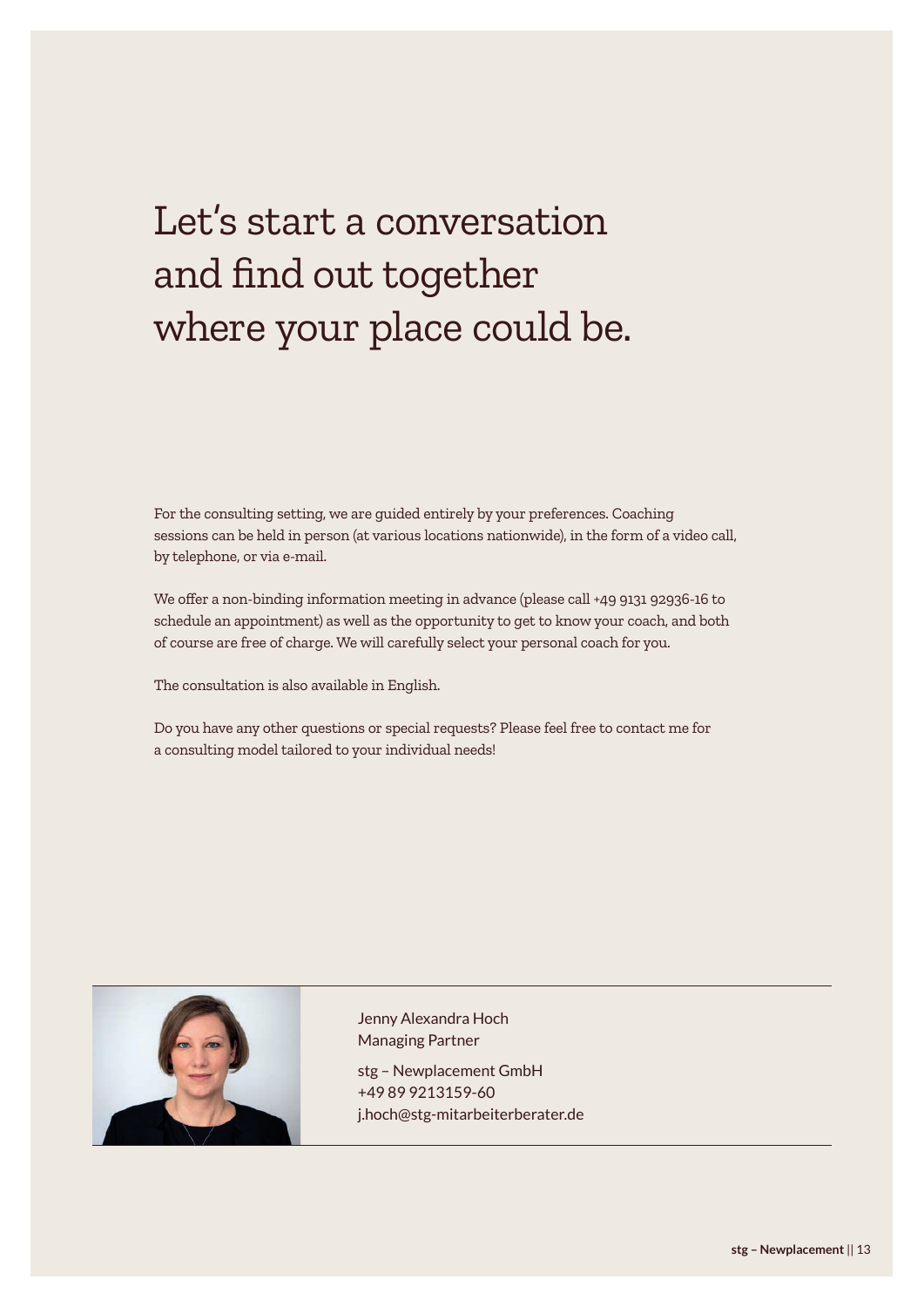# Let's start a conversation and find out together where your place could be.

For the consulting setting, we are guided entirely by your preferences. Coaching sessions can be held in person (at various locations nationwide), in the form of a video call, by telephone, or via e-mail.

We offer a non-binding information meeting in advance (please call +49 9131 92936-16 to schedule an appointment) as well as the opportunity to get to know your coach, and both of course are free of charge. We will carefully select your personal coach for you.

The consultation is also available in English.

Do you have any other questions or special requests? Please feel free to contact me for a consulting model tailored to your individual needs!



Jenny Alexandra Hoch Managing Partner

stg – Newplacement GmbH +49 89 9213159-60 j.hoch@stg-mitarbeiterberater.de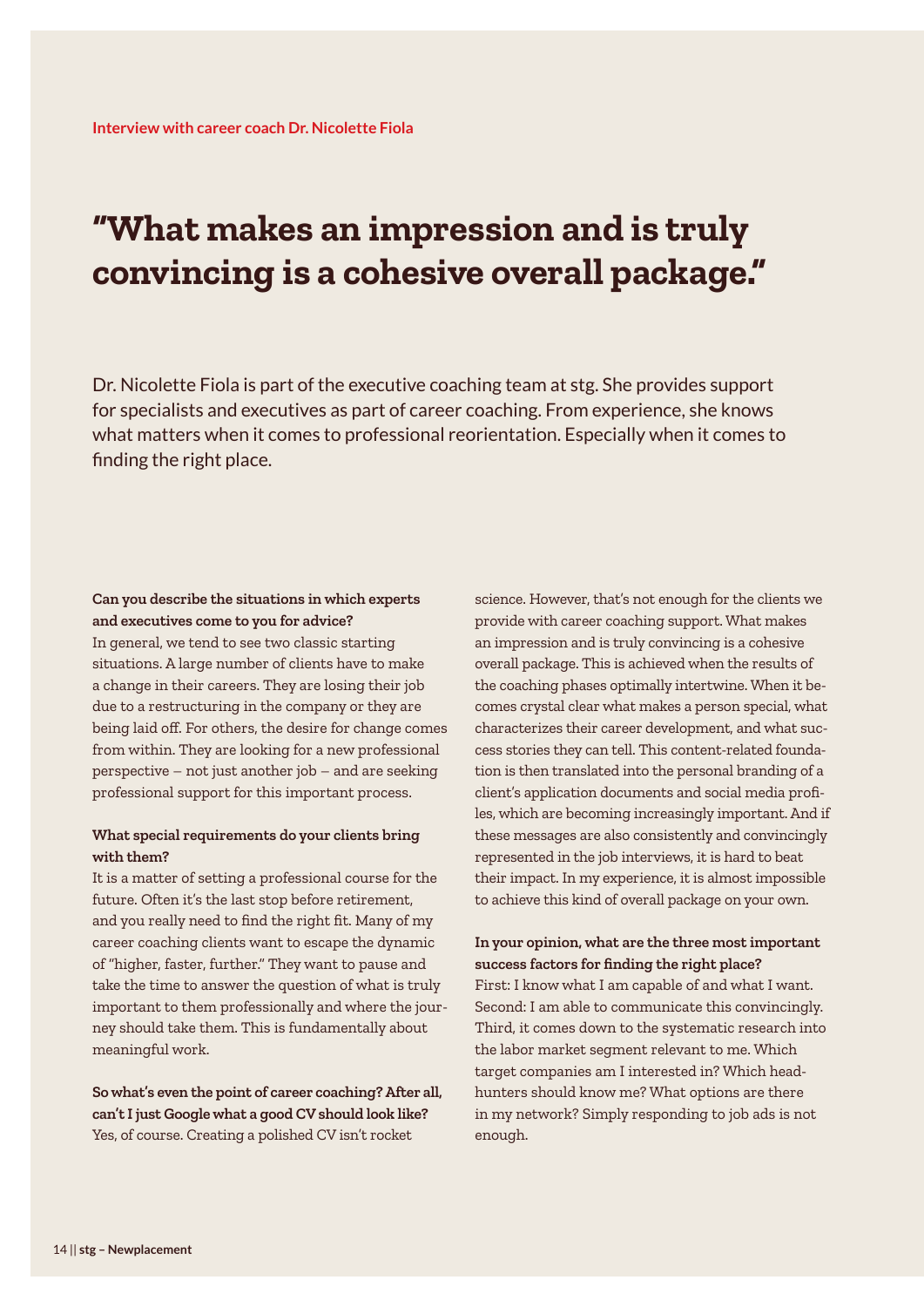### **"What makes an impression and is truly convincing is a cohesive overall package."**

Dr. Nicolette Fiola is part of the executive coaching team at stg. She provides support for specialists and executives as part of career coaching. From experience, she knows what matters when it comes to professional reorientation. Especially when it comes to finding the right place.

### **Can you describe the situations in which experts and executives come to you for advice?** In general, we tend to see two classic starting

situations. A large number of clients have to make a change in their careers. They are losing their job due to a restructuring in the company or they are being laid off. For others, the desire for change comes from within. They are looking for a new professional perspective – not just another job – and are seeking professional support for this important process.

#### **What special requirements do your clients bring with them?**

It is a matter of setting a professional course for the future. Often it's the last stop before retirement, and you really need to find the right fit. Many of my career coaching clients want to escape the dynamic of "higher, faster, further." They want to pause and take the time to answer the question of what is truly important to them professionally and where the journey should take them. This is fundamentally about meaningful work.

**So what's even the point of career coaching? After all, can't I just Google what a good CV should look like?** Yes, of course. Creating a polished CV isn't rocket

science. However, that's not enough for the clients we provide with career coaching support. What makes an impression and is truly convincing is a cohesive overall package. This is achieved when the results of the coaching phases optimally intertwine. When it becomes crystal clear what makes a person special, what characterizes their career development, and what success stories they can tell. This content-related foundation is then translated into the personal branding of a client's application documents and social media profiles, which are becoming increasingly important. And if these messages are also consistently and convincingly represented in the job interviews, it is hard to beat their impact. In my experience, it is almost impossible to achieve this kind of overall package on your own.

### **In your opinion, what are the three most important success factors for finding the right place?** First: I know what I am capable of and what I want. Second: I am able to communicate this convincingly. Third, it comes down to the systematic research into the labor market segment relevant to me. Which target companies am I interested in? Which headhunters should know me? What options are there in my network? Simply responding to job ads is not enough.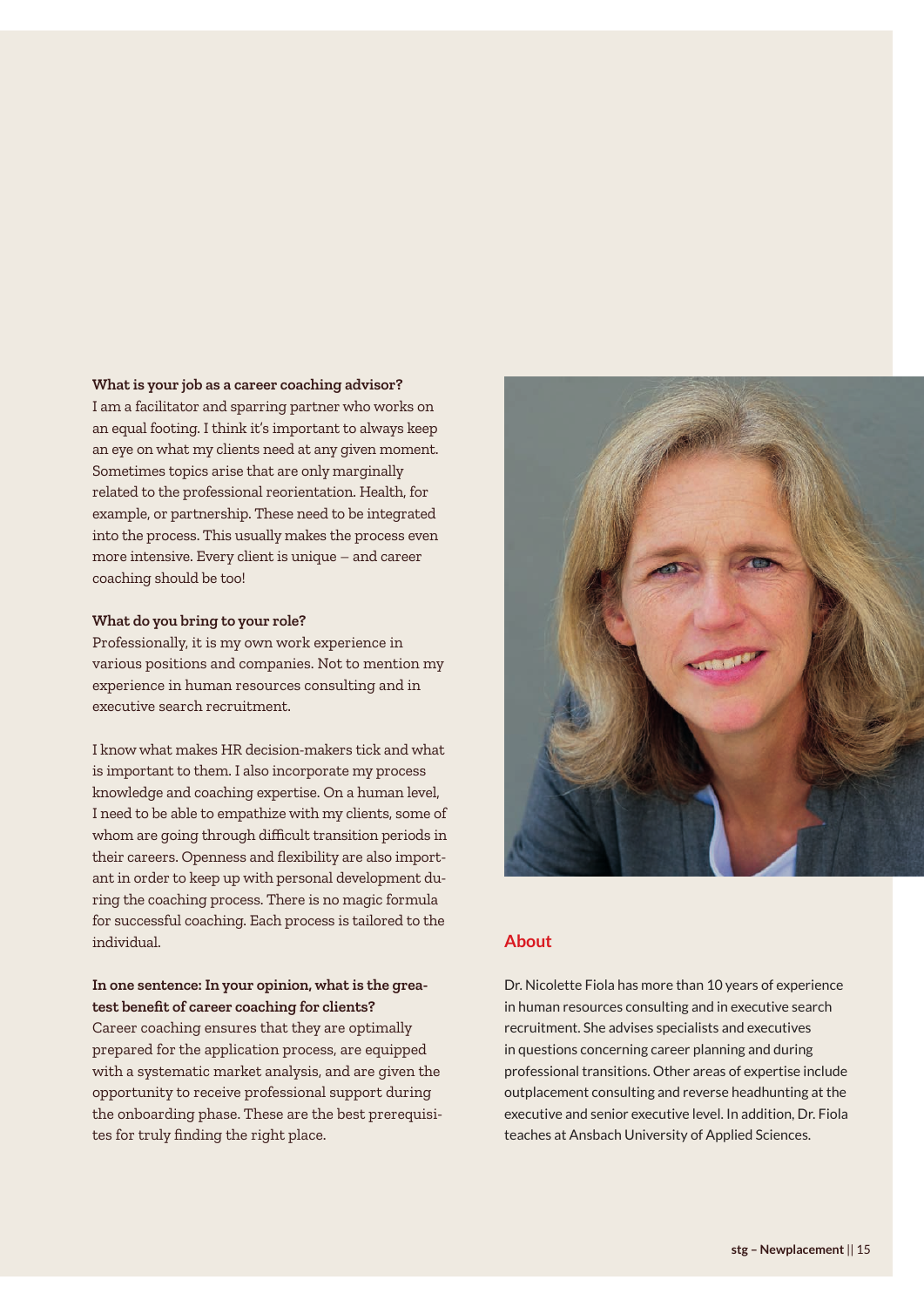#### **What is your job as a career coaching advisor?**

I am a facilitator and sparring partner who works on an equal footing. I think it's important to always keep an eye on what my clients need at any given moment. Sometimes topics arise that are only marginally related to the professional reorientation. Health, for example, or partnership. These need to be integrated into the process. This usually makes the process even more intensive. Every client is unique – and career coaching should be too!

#### **What do you bring to your role?**

Professionally, it is my own work experience in various positions and companies. Not to mention my experience in human resources consulting and in executive search recruitment.

I know what makes HR decision-makers tick and what is important to them. I also incorporate my process knowledge and coaching expertise. On a human level, I need to be able to empathize with my clients, some of whom are going through difficult transition periods in their careers. Openness and flexibility are also important in order to keep up with personal development during the coaching process. There is no magic formula for successful coaching. Each process is tailored to the individual.

#### **In one sentence: In your opinion, what is the greatest benefit of career coaching for clients?**

Career coaching ensures that they are optimally prepared for the application process, are equipped with a systematic market analysis, and are given the opportunity to receive professional support during the onboarding phase. These are the best prerequisites for truly finding the right place.



#### **About**

Dr. Nicolette Fiola has more than 10 years of experience in human resources consulting and in executive search recruitment. She advises specialists and executives in questions concerning career planning and during professional transitions. Other areas of expertise include outplacement consulting and reverse headhunting at the executive and senior executive level. In addition, Dr. Fiola teaches at Ansbach University of Applied Sciences.